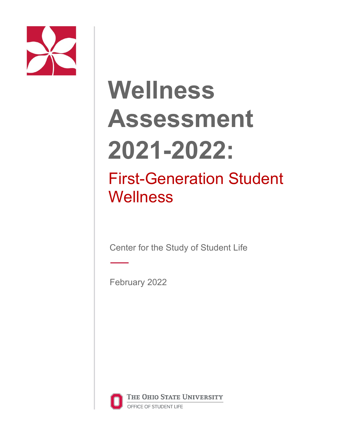

# **Wellness Assessment 2021-2022:**

# First-Generation Student **Wellness**

Center for the Study of Student Life

February 2022



THE OHIO STATE UNIVERSITY OFFICE OF STUDENT LIFE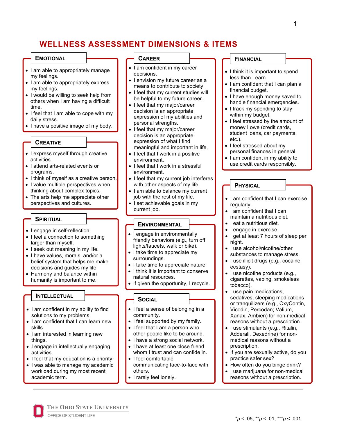# **WELLNESS ASSESSMENT DIMENSIONS & ITEMS**

#### **EMOTIONAL**

- I am able to appropriately manage my feelings.
- I am able to appropriately express my feelings.
- I would be willing to seek help from others when I am having a difficult time.
- I feel that I am able to cope with my daily stress.
- I have a positive image of my body.

#### **CREATIVE**

- I express myself through creative activities.
- I attend arts-related events or programs.
- I think of myself as a creative person.
- I value multiple perspectives when thinking about complex topics.
- The arts help me appreciate other perspectives and cultures.

#### **SPIRITUAL**

- I engage in self-reflection.
- I feel a connection to something larger than myself.
- I seek out meaning in my life.
- I have values, morals, and/or a belief system that helps me make decisions and guides my life.
- Harmony and balance within humanity is important to me.

#### **INTELLECTUAL**

- I am confident in my ability to find solutions to my problems.
- I am confident that I can learn new skills.
- I am interested in learning new things.
- I engage in intellectually engaging activities.
- I feel that my education is a priority.
- I was able to manage my academic workload during my most recent academic term.

OFFICE OF STUDENT LIFE

THE OHIO STATE UNIVERSITY

#### **CAREER**

- I am confident in my career decisions.
- I envision my future career as a means to contribute to society.
- I feel that my current studies will be helpful to my future career.
- I feel that my major/career decision is an appropriate expression of my abilities and personal strengths.
- I feel that my major/career decision is an appropriate expression of what I find meaningful and important in life.
- I feel that I work in a positive environment.
- I feel that I work in a stressful environment.
- I feel that my current job interferes with other aspects of my life.
- I am able to balance my current job with the rest of my life.
- I set achievable goals in my current job.

#### **ENVIRONMENTAL**

- I engage in environmentally friendly behaviors (e.g., turn off lights/faucets, walk or bike).
- I take time to appreciate my surroundings.
- I take time to appreciate nature.
- I think it is important to conserve natural resources.
- If given the opportunity, I recycle.

#### **SOCIAL**

- I feel a sense of belonging in a community.
- I feel supported by my family.
- I feel that I am a person who other people like to be around.
- I have a strong social network.
- I have at least one close friend whom I trust and can confide in.
- I feel comfortable communicating face-to-face with others.
- I rarely feel lonely.

#### **FINANCIAL**

• I think it is important to spend less than I earn.

1

- I am confident that I can plan a financial budget.
- I have enough money saved to handle financial emergencies.
- I track my spending to stay within my budget.
- I feel stressed by the amount of money I owe (credit cards, student loans, car payments, etc.).
- I feel stressed about my personal finances in general.
- I am confident in my ability to
- use credit cards responsibly.

#### **PHYSICAL**

- I am confident that I can exercise regularly.
- I am confident that I can maintain a nutritious diet.
- I eat a nutritious diet.
- I engage in exercise.
- I get at least 7 hours of sleep per night.
- I use alcohol/nicotine/other substances to manage stress.
- I use illicit drugs (e.g., cocaine, ecstasy).
- I use nicotine products (e.g., cigarettes, vaping, smokeless tobacco).
- I use pain medications, sedatives, sleeping medications or tranquilizers (e.g., OxyContin, Vicodin, Percodan; Valium, Xanax, Ambien) for non-medical reasons without a prescription.
- I use stimulants (e.g., Ritalin, Adderall, Dexedrine) for nonmedical reasons without a prescription.
- If you are sexually active, do you practice safer sex?
- How often do you binge drink?
- I use marijuana for non-medical reasons without a prescription.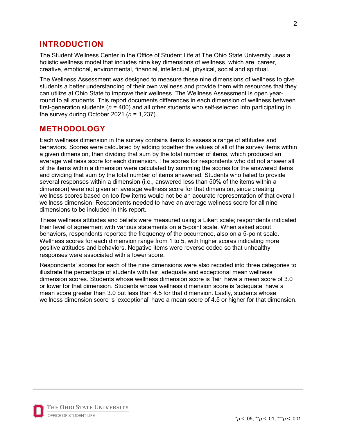# **INTRODUCTION**

The Student Wellness Center in the Office of Student Life at The Ohio State University uses a holistic wellness model that includes nine key dimensions of wellness, which are: career, creative, emotional, environmental, financial, intellectual, physical, social and spiritual.

The Wellness Assessment was designed to measure these nine dimensions of wellness to give students a better understanding of their own wellness and provide them with resources that they can utilize at Ohio State to improve their wellness. The Wellness Assessment is open yearround to all students. This report documents differences in each dimension of wellness between first-generation students (*n* = 400) and all other students who self-selected into participating in the survey during October 2021 (*n* = 1,237).

## **METHODOLOGY**

Each wellness dimension in the survey contains items to assess a range of attitudes and behaviors. Scores were calculated by adding together the values of all of the survey items within a given dimension, then dividing that sum by the total number of items, which produced an average wellness score for each dimension. The scores for respondents who did not answer all of the items within a dimension were calculated by summing the scores for the answered items and dividing that sum by the total number of items answered. Students who failed to provide several responses within a dimension (i.e., answered less than 50% of the items within a dimension) were not given an average wellness score for that dimension, since creating wellness scores based on too few items would not be an accurate representation of that overall wellness dimension. Respondents needed to have an average wellness score for all nine dimensions to be included in this report.

These wellness attitudes and beliefs were measured using a Likert scale; respondents indicated their level of agreement with various statements on a 5-point scale. When asked about behaviors, respondents reported the frequency of the occurrence, also on a 5-point scale. Wellness scores for each dimension range from 1 to 5, with higher scores indicating more positive attitudes and behaviors. Negative items were reverse coded so that unhealthy responses were associated with a lower score.

Respondents' scores for each of the nine dimensions were also recoded into three categories to illustrate the percentage of students with fair, adequate and exceptional mean wellness dimension scores. Students whose wellness dimension score is 'fair' have a mean score of 3.0 or lower for that dimension. Students whose wellness dimension score is 'adequate' have a mean score greater than 3.0 but less than 4.5 for that dimension. Lastly, students whose wellness dimension score is 'exceptional' have a mean score of 4.5 or higher for that dimension.

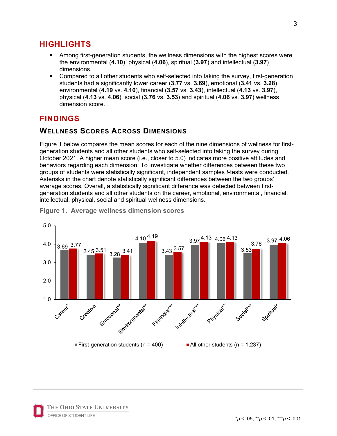# **HIGHLIGHTS**

- Among first-generation students, the wellness dimensions with the highest scores were the environmental (**4.10**), physical (**4.06**), spiritual (**3.97**) and intellectual (**3.97**) dimensions.
- Compared to all other students who self-selected into taking the survey, first-generation students had a significantly lower career (**3.77** vs. **3.69**), emotional (**3.41** vs. **3.28**), environmental (**4.19** vs. **4.10**), financial (**3.57** vs. **3.43**), intellectual (**4.13** vs. **3.97**), physical (**4.13** vs. **4.06**), social (**3.76** vs. **3.53**) and spiritual (**4.06** vs. **3.97**) wellness dimension score.

# **FINDINGS**

# **WELLNESS SCORES ACROSS DIMENSIONS**

Figure 1 below compares the mean scores for each of the nine dimensions of wellness for firstgeneration students and all other students who self-selected into taking the survey during October 2021. A higher mean score (i.e., closer to 5.0) indicates more positive attitudes and behaviors regarding each dimension. To investigate whether differences between these two groups of students were statistically significant, independent samples *t*-tests were conducted. Asterisks in the chart denote statistically significant differences between the two groups' average scores. Overall, a statistically significant difference was detected between firstgeneration students and all other students on the career, emotional, environmental, financial, intellectual, physical, social and spiritual wellness dimensions.



**Figure 1. Average wellness dimension scores**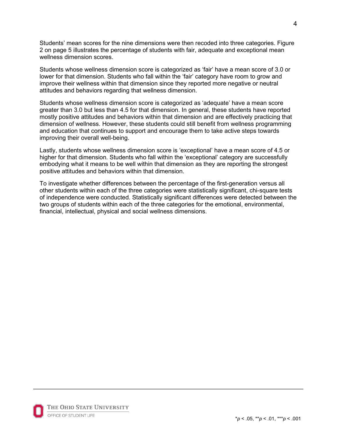Students' mean scores for the nine dimensions were then recoded into three categories. Figure 2 on page 5 illustrates the percentage of students with fair, adequate and exceptional mean wellness dimension scores.

Students whose wellness dimension score is categorized as 'fair' have a mean score of 3.0 or lower for that dimension. Students who fall within the 'fair' category have room to grow and improve their wellness within that dimension since they reported more negative or neutral attitudes and behaviors regarding that wellness dimension.

Students whose wellness dimension score is categorized as 'adequate' have a mean score greater than 3.0 but less than 4.5 for that dimension. In general, these students have reported mostly positive attitudes and behaviors within that dimension and are effectively practicing that dimension of wellness. However, these students could still benefit from wellness programming and education that continues to support and encourage them to take active steps towards improving their overall well-being.

Lastly, students whose wellness dimension score is 'exceptional' have a mean score of 4.5 or higher for that dimension. Students who fall within the 'exceptional' category are successfully embodying what it means to be well within that dimension as they are reporting the strongest positive attitudes and behaviors within that dimension.

To investigate whether differences between the percentage of the first-generation versus all other students within each of the three categories were statistically significant, chi-square tests of independence were conducted. Statistically significant differences were detected between the two groups of students within each of the three categories for the emotional, environmental, financial, intellectual, physical and social wellness dimensions.